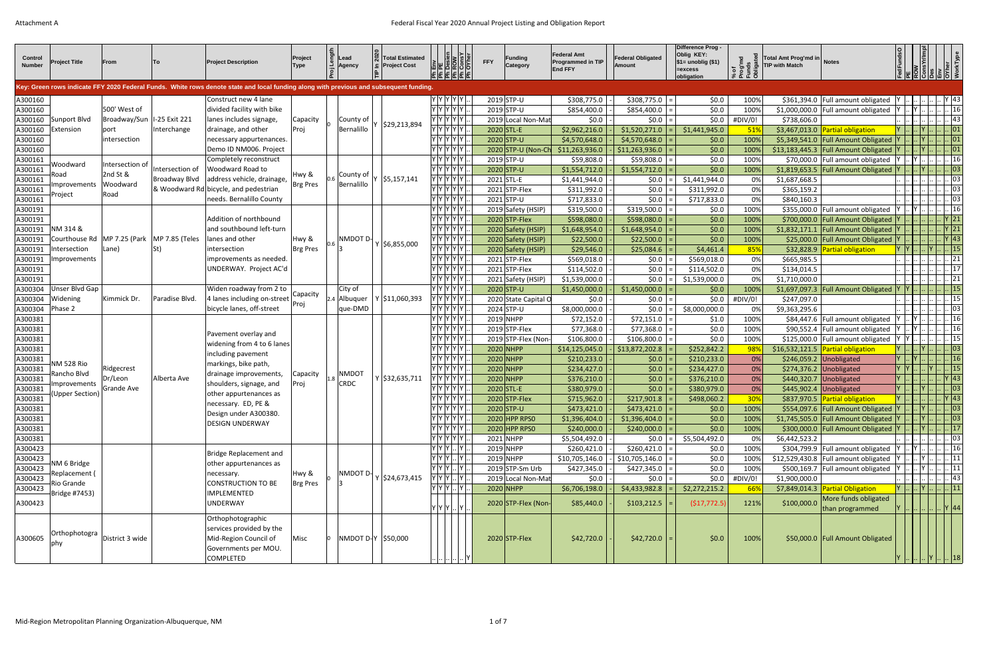| Control<br><b>Number</b> | <b>Project Title</b>  | From                                           | To:             | <b>Project Description</b><br>Key: Green rows indicate FFY 2020 Federal Funds. White rows denote state and local funding along with previous and subsequent funding. | Project<br>[ype] | Lead<br>Agency | <b>Total Estimated</b><br><b>Project Cost</b> | Desie<br>ROM<br>Cons                                                                            | <b>Funding</b><br><b>FFY</b><br>Category | <b>Federal Amt</b><br>Programmed in TIP<br><b>End FFY</b> | <b>Federal Obligated</b><br>Amount |     | Difference Prog -<br>Oblig KEY:<br>$\$1=$ unoblig $(\$1)$<br>=excess<br>obligation |            | Total Amt Prog'md in<br><b>TIP with Match</b> | <b>Notes</b>                              |                    | $\frac{ \vec{\Sigma} }{ \vec{\Sigma} }$                             |                                         |                                                        |
|--------------------------|-----------------------|------------------------------------------------|-----------------|----------------------------------------------------------------------------------------------------------------------------------------------------------------------|------------------|----------------|-----------------------------------------------|-------------------------------------------------------------------------------------------------|------------------------------------------|-----------------------------------------------------------|------------------------------------|-----|------------------------------------------------------------------------------------|------------|-----------------------------------------------|-------------------------------------------|--------------------|---------------------------------------------------------------------|-----------------------------------------|--------------------------------------------------------|
|                          |                       |                                                |                 |                                                                                                                                                                      |                  |                |                                               |                                                                                                 |                                          |                                                           |                                    |     |                                                                                    |            |                                               |                                           |                    |                                                                     |                                         |                                                        |
| A300160                  |                       |                                                |                 | Construct new 4 lane                                                                                                                                                 |                  |                |                                               | Y  Y  Y  Y  Y                                                                                   | $2019$ STP-U                             | \$308,775.0                                               | $$308,775.0$ =                     |     | \$0.0\$                                                                            | 100%       |                                               | \$361,394.0   Full amount obligated       |                    |                                                                     |                                         | Y  43                                                  |
| A300160                  |                       | 500' West of                                   |                 | divided facility with bike                                                                                                                                           |                  |                |                                               | Y Y Y Y                                                                                         | $2019$ STP-U                             | \$854,400.0                                               | $$854,400.0$ =                     |     | \$0.0\$                                                                            | 100%       |                                               | \$1,000,000.0 Full amount obligated       |                    |                                                                     |                                         |                                                        |
| A300160                  | Sunport Blvd          | Broadway/Sun                                   | I-25 Exit 221   | lanes includes signage,                                                                                                                                              | Capacity         | County of      | \$29,213,894                                  | / Y Y Y Y                                                                                       | 2019 Local Non-Mat                       | \$0.0\$                                                   | $$0.0$ =                           |     | \$0.0\$                                                                            | #DIV/0!    | \$738,606.0                                   |                                           |                    |                                                                     |                                         | 43                                                     |
| A300160                  | Extension             | port                                           | Interchange     | drainage, and other                                                                                                                                                  | Proj             | Bernalillo     |                                               | Y Y Y Y Y                                                                                       | $2020$ STL-E                             | \$2,962,216.0                                             | \$1,520,271.0                      |     | \$1,441,945.0                                                                      | 51%        |                                               | \$3,467,013.0 Partial obligation          |                    |                                                                     |                                         | $\left\vert \right\vert$ 01 $\right\vert$              |
| A300160                  |                       | intersection                                   |                 | necessary appurtenances.                                                                                                                                             |                  |                |                                               | Y  Y  Y  Y  Y                                                                                   | 2020 STP-U                               | \$4,570,648.0                                             | $$4,570,648.0$ =                   |     | \$0.0\$                                                                            | 100%       |                                               | \$5,349,541.0   Full Amount Obligated     |                    |                                                                     |                                         | .  01                                                  |
| A300160                  |                       |                                                |                 | Demo ID NM006. Project                                                                                                                                               |                  |                |                                               | Y Y Y Y Y                                                                                       | 2020 STP-U (Non-Ch                       | \$11,263,936.0                                            | $$11,263,936.0$ =                  |     | \$0.0\$                                                                            | 100%       |                                               | \$13,183,445.3 Full Amount Obligated      |                    |                                                                     |                                         | 01                                                     |
| A300161                  | Woodward              | Intersection of                                |                 | Completely reconstruct                                                                                                                                               |                  |                |                                               | Y Y Y Y Y                                                                                       | $2019$ STP-U                             | \$59,808.0                                                | \$59,808.0                         |     | \$0.0\$                                                                            | 100%       |                                               | \$70,000.0 Full amount obligated          |                    |                                                                     |                                         | . 16                                                   |
| A300161                  | Road                  | 2nd St &                                       | Intersection of | <b>Woodward Road to</b>                                                                                                                                              | Hwy &            | County of      |                                               |                                                                                                 | $2020$ STP-U                             | \$1,554,712.0                                             | $$1,554,712.0$ =                   |     | \$0.0                                                                              | 100%       |                                               | \$1,819,653.5   Full Amount Obligated   Y |                    |                                                                     |                                         | 03                                                     |
| A300161                  | mprovements           | Woodward                                       | Broadway Blvd   | address vehicle, drainage,                                                                                                                                           | <b>Brg Pres</b>  | Bernalillo     | \$5,157,141                                   | Y  Y  Y  Y  Y                                                                                   | $2021$ STL-E                             | \$1,441,944.0                                             | \$0.0                              |     | \$1,441,944.0                                                                      | 0%         | \$1,687,668.5                                 |                                           |                    |                                                                     |                                         | $\therefore$ 03                                        |
| A300161                  | Project               | Road                                           |                 | & Woodward Rd bicycle, and pedestrian                                                                                                                                |                  |                |                                               | $\gamma  \gamma  \gamma  \gamma  \gamma  $                                                      | $2021$ STP-Flex                          | \$311,992.0                                               | \$0.0                              |     | \$311,992.0                                                                        | 0%         | \$365,159.2                                   |                                           |                    |                                                                     |                                         | $\, . \,  03 $                                         |
| A300161                  |                       |                                                |                 | needs. Bernalillo County                                                                                                                                             |                  |                |                                               | Y Y Y Y Y I                                                                                     | $2021$ STP-U                             | \$717,833.0                                               | \$0.0                              |     | \$717,833.0                                                                        | 0%         | \$840,160.3                                   |                                           |                    |                                                                     |                                         | 03                                                     |
| A300191                  |                       |                                                |                 |                                                                                                                                                                      |                  |                |                                               | Y  Y  Y  Y  Y                                                                                   | 2019 Safety (HSIP)                       | \$319,500.0                                               | $$319,500.0$ =                     |     | \$0.0\$                                                                            | 100%       |                                               | \$355,000.0 Full amount obligated         |                    |                                                                     |                                         | $\vert$   16                                           |
| A300191                  |                       |                                                |                 | Addition of northbound                                                                                                                                               |                  |                |                                               | '  Y  Y  Y  Y                                                                                   | $2020$ STP-Flex                          | \$598,080.0                                               | $$598,080.0$ =                     |     | \$0.0\$                                                                            | 100%       |                                               | \$700,000.0 Full Amount Obligated Y       |                    |                                                                     |                                         | $\left  \dots   1 \right $ 21                          |
| A300191                  | NM 314 &              |                                                |                 | and southbound left-turn                                                                                                                                             |                  |                |                                               | '  Y  Y  Y  Y                                                                                   | 2020 Safety (HSIP)                       | \$1,648,954.0                                             | $$1,648,954.0$ =                   |     | \$0.0\$                                                                            | 100%       |                                               | \$1,832,171.1   Full Amount Obligated   Y |                    |                                                                     |                                         | $\left \right $ Y 21                                   |
| A300191                  |                       | Courthouse Rd   MP 7.25 (Park   MP 7.85 (Teles |                 | lanes and other                                                                                                                                                      | Hwy &            | NMDOT D-       | $Y$ \$6,855,000                               | Y  Y  Y  Y  Y                                                                                   | 2020 Safety (HSIP)                       | \$22,500.0                                                | $$22,500.0$ =                      |     | \$0.0\$                                                                            | 100%       |                                               | \$25,000.0 Full Amount Obligated Y        |                    |                                                                     |                                         | $\left \right $ Y  43                                  |
| A300191                  | Intersection          | Lane)                                          | St)             | intersection                                                                                                                                                         | <b>Brg Pres</b>  |                |                                               | Y  Y  Y  Y  Y                                                                                   | 2020 Safety (HSIP)                       | \$29,546.0                                                | $$25,084.6$ =                      |     | \$4,461.4                                                                          | 85%        |                                               | \$32,828.9 Partial obligation             |                    |                                                                     |                                         | $\vert \vert 15 \vert$                                 |
| A300191                  | Improvements          |                                                |                 | improvements as needed.                                                                                                                                              |                  |                |                                               | $\vert$ Y $\vert$ Y $\vert$ Y $\vert$ Y $\vert$                                                 | $2021$ STP-Flex                          | \$569,018.0                                               | $ 50.0 $ =                         |     | \$569,018.0                                                                        | 0%         | \$665,985.5                                   |                                           |                    |                                                                     |                                         | 21                                                     |
| A300191                  |                       |                                                |                 | UNDERWAY. Project AC'd                                                                                                                                               |                  |                |                                               | '  Y  Y  Y  Y                                                                                   | $2021$ STP-Flex                          | \$114,502.0                                               | \$0.0\$                            |     | \$114,502.0                                                                        | 0%         | \$134,014.5                                   |                                           |                    |                                                                     |                                         | 17                                                     |
| A300191                  |                       |                                                |                 |                                                                                                                                                                      |                  |                |                                               |                                                                                                 | 2021 Safety (HSIP)                       | \$1,539,000.0                                             | \$0.0\$                            |     | \$1,539,000.0                                                                      | 0%         | \$1,710,000.0                                 |                                           |                    |                                                                     | $\ldots$ $\ldots$ $\lfloor .21 \rfloor$ |                                                        |
| A300304                  | Unser Blvd Gap        |                                                |                 | Widen roadway from 2 to                                                                                                                                              | Capacity         | City of        |                                               | Y Y Y Y Y                                                                                       | 2020 STP-U                               | \$1,450,000.0                                             | $$1,450,000.0$ =                   |     | \$0.0\$                                                                            | 100%       |                                               | \$1,697,097.3   Full Amount Obligated     |                    |                                                                     |                                         | .  15                                                  |
| A300304                  | Widening              | Kimmick Dr.                                    | Paradise Blvd.  | 4 lanes including on-street                                                                                                                                          | Proj             |                | $ 2.4 $ Albuquer   Y   \$11,060,393           | Y  Y  Y  Y  Y                                                                                   | 2020 State Capital O                     | \$0.0\$                                                   | $ 50.0 $ =                         |     | \$0.0\$                                                                            | #DIV/0!    | \$247,097.0                                   |                                           |                    |                                                                     |                                         |                                                        |
| A300304 Phase 2          |                       |                                                |                 | bicycle lanes, off-street                                                                                                                                            |                  | que-DMD        |                                               | Y Y Y Y Y                                                                                       | $2024$ STP-U                             | \$8,000,000.0                                             | \$0.0                              | ∣ = | \$8,000,000.0                                                                      | 0%         | \$9,363,295.6                                 |                                           |                    |                                                                     |                                         | 03                                                     |
| A300381                  |                       |                                                |                 |                                                                                                                                                                      |                  |                |                                               | Y Y Y Y Y                                                                                       | 2019 NHPP                                | \$72,152.0                                                | \$72,151.0                         |     | \$1.0                                                                              | 100%       |                                               | \$84,447.6 Full amount obligated          |                    |                                                                     |                                         | 16                                                     |
| A300381                  |                       |                                                |                 | Pavement overlay and                                                                                                                                                 |                  |                |                                               | Y  Y  Y  Y  Y                                                                                   | $2019$ STP-Flex                          | \$77,368.0                                                | \$77,368.0                         |     | \$0.0                                                                              | 100%       |                                               | \$90,552.4 Full amount obligated          |                    |                                                                     |                                         | $\frac{1}{2}$ $\frac{1}{2}$ 16                         |
| A300381                  |                       |                                                |                 | widening from 4 to 6 lanes                                                                                                                                           |                  |                |                                               | Y Y Y Y                                                                                         | 2019 STP-Flex (Non-                      | \$106,800.0                                               | \$106,800.0                        |     | \$0.0\$                                                                            | 100%       |                                               | \$125,000.0 Full amount obligated         |                    |                                                                     |                                         |                                                        |
| A300381                  |                       |                                                |                 | including pavement                                                                                                                                                   |                  |                |                                               | YYYYYY                                                                                          | $2020$ NHPP                              | \$14,125,045.0                                            | $$13,872,202.8  =$                 |     | \$252,842.2                                                                        | 98%        |                                               | \$16,532,121.5 Partial obligation         |                    |                                                                     |                                         | 03                                                     |
| A300381                  | <b>NM 528 Rio</b>     |                                                |                 | markings, bike path,                                                                                                                                                 |                  |                |                                               | Y Y Y Y Y                                                                                       | $2020$ NHPP                              | \$210,233.0                                               | \$0.0\$                            |     | \$210,233.0                                                                        | 0%         | $$246,059.2$ Unobligated                      |                                           |                    | $\left \right $ Y $\left \right $ $\left \right $ $\left 16\right $ |                                         |                                                        |
| A300381                  | Rancho Blvd           | Ridgecrest                                     |                 | drainage improvements,                                                                                                                                               | Capacity         | NMDOT          |                                               | Y  Y  Y  Y  Y                                                                                   | $2020$ NHPP                              | \$234,427.0                                               | $ 50.0 $ =                         |     | \$234,427.0                                                                        | 0%         |                                               | \$274,376.2 Unobligated                   | $Y$ $ Y $          |                                                                     |                                         | Y      15                                              |
| A300381                  | mprovements           | Dr/Leon                                        | Alberta Ave     | shoulders, signage, and                                                                                                                                              | Proj             | <b>CRDC</b>    | $Y$ \$32,635,711                              | Y Y Y Y Y                                                                                       | $2020$ NHPP                              | \$376,210.0                                               | $ 50.0 $ =                         |     | \$376,210.0                                                                        | 0%         |                                               | \$440,320.7 Unobligated                   | Y            Y  43 |                                                                     |                                         |                                                        |
| A300381                  | <b>Upper Section)</b> | Grande Ave                                     |                 | other appurtenances as                                                                                                                                               |                  |                |                                               | Y  Y  Y  Y  Y                                                                                   | 2020 STL-E                               | \$380,979.0                                               | 50.0                               |     | \$380,979.0                                                                        | 0%         |                                               | $$445,902.4$ Unobligated                  | Y      Y        03 |                                                                     |                                         |                                                        |
| A300381                  |                       |                                                |                 | necessary. ED, PE &                                                                                                                                                  |                  |                |                                               | Y  Y  Y  Y  Y                                                                                   | $2020$ STP-Flex                          | \$715,962.0                                               | $$217,901.8$ =                     |     | \$498,060.2                                                                        | <b>30%</b> |                                               | \$837,970.5 Partial obligation            |                    |                                                                     |                                         | $\left\vert .\right\vert$ Y $\left\vert 43\right\vert$ |
| A300381                  |                       |                                                |                 | Design under A300380.                                                                                                                                                |                  |                |                                               | Y  Y  Y  Y  Y                                                                                   | $2020$ STP-U                             | \$473,421.0                                               | $$473,421.0$ =                     |     | \$0.0\$                                                                            | 100%       |                                               | \$554,097.6 Full Amount Obligated         |                    |                                                                     |                                         | .  03                                                  |
| A300381                  |                       |                                                |                 | <b>DESIGN UNDERWAY</b>                                                                                                                                               |                  |                |                                               | Y  Y  Y  Y  Y                                                                                   | 2020 HPP RPSO                            | \$1,396,404.0                                             | $$1,396,404.0$ =                   |     | \$0.0\$                                                                            | 100%       |                                               | \$1,745,505.0   Full Amount Obligated     |                    |                                                                     |                                         | 03                                                     |
| A300381                  |                       |                                                |                 |                                                                                                                                                                      |                  |                |                                               | Y Y Y Y Y I                                                                                     | 2020 HPP RPSO                            | \$240,000.0                                               | \$240,000.0                        |     | \$0.0\$                                                                            | 100%       |                                               | \$300,000.0 Full Amount Obligated Y       |                    |                                                                     |                                         | $\vert \vert 17 \vert$                                 |
| A300381                  |                       |                                                |                 |                                                                                                                                                                      |                  |                |                                               | Y  Y  Y  Y  Y                                                                                   | $2021$ NHPP                              | \$5,504,492.0                                             | \$0.0\$                            |     | \$5,504,492.0                                                                      | 0%         | \$6,442,523.2                                 |                                           |                    | $       $ 03                                                        |                                         |                                                        |
| A300423                  |                       |                                                |                 | Bridge Replacement and                                                                                                                                               |                  |                |                                               | $\mathsf{Y} \, \big  \mathsf{Y} \, \big  \mathsf{Y} \, \big   \, \big  \mathsf{Y} \, \big $     | 2019 NHPP                                | \$260,421.0                                               | $$260,421.0$ =                     |     | \$0.0                                                                              | 100%       |                                               | \$304,799.9 Full amount obligated         |                    |                                                                     |                                         | .  16                                                  |
| A300423                  | NM 6 Bridge           |                                                |                 | other appurtenances as                                                                                                                                               |                  |                |                                               | Y  Y  Y    Y                                                                                    | 2019 NHPP                                | \$10,705,146.0                                            | $$10,705,146.0$ =                  |     | \$0.0\$                                                                            | 100%       |                                               | \$12,529,430.8   Full amount obligated    |                    |                                                                     |                                         | $\lfloor \rfloor$ 11'                                  |
| A300423                  | Replacement (         |                                                |                 | necessary.                                                                                                                                                           | Hwy &            | NMDOT D-       |                                               | /  Y   Y     Y                                                                                  | $2019$ STP-Sm Urb                        | \$427,345.0                                               | $$427,345.0$ =                     |     | \$0.0\$                                                                            | 100%       |                                               | \$500,169.7 Full amount obligated         |                    |                                                                     |                                         | $\vert \cdot \vert 11$                                 |
| A300423                  | Rio Grande            |                                                |                 | CONSTRUCTION TO BE                                                                                                                                                   | <b>Brg Pres</b>  |                | $Y$ \$24,673,415                              | Y  Y  Y    Y  .                                                                                 | 2019 Local Non-Mat                       | \$0.0                                                     | $$0.0$ =                           |     | \$0.0                                                                              | #DIV/0!    | \$1,900,000.0                                 |                                           |                    | $\left  \ldots \right  \ldots \left  \ldots \right  \ldots$   43    |                                         |                                                        |
| A300423                  | Bridge #7453)         |                                                |                 | <b>IMPLEMENTED</b>                                                                                                                                                   |                  |                |                                               | $\mathsf{Y} \, \big  \mathsf{Y} \, \big  \mathsf{Y} \, \big  \ldots \big  \mathsf{Y} \, \big .$ | $2020$ NHPP                              | \$6,706,198.0                                             | \$4,433,982.8                      |     | \$2,272,215.2                                                                      | 66%        |                                               | \$7,849,014.3 Partial Obligation          | Y      Y        11 |                                                                     |                                         |                                                        |
| A300423                  |                       |                                                |                 | <b>UNDERWAY</b>                                                                                                                                                      |                  |                |                                               |                                                                                                 | 2020 STP-Flex (Non-                      | \$85,440.0                                                | \$103,212.5                        |     | (517, 772.5)                                                                       | 121%       | \$100,000.0                                   | More funds obligated                      |                    |                                                                     |                                         |                                                        |
|                          |                       |                                                |                 |                                                                                                                                                                      |                  |                |                                               | $Y Y Y $ $ Y $ .                                                                                |                                          |                                                           |                                    |     |                                                                                    |            |                                               | than programmed                           | .          Y  44   |                                                                     |                                         |                                                        |
| A300605                  | Orthophotogra<br> phy | District 3 wide                                |                 | Orthophotographic<br>services provided by the<br>Mid-Region Council of<br>Governments per MOU.<br><b>COMPLETED</b>                                                   | Misc             |                | NMDOT D-Y  \$50,000                           |                                                                                                 | $2020$ STP-Flex                          | \$42,720.0                                                | $$42,720.0$ =                      |     | \$0.0\$                                                                            | 100%       |                                               | \$50,000.0   Full Amount Obligated        |                    |                                                                     |                                         |                                                        |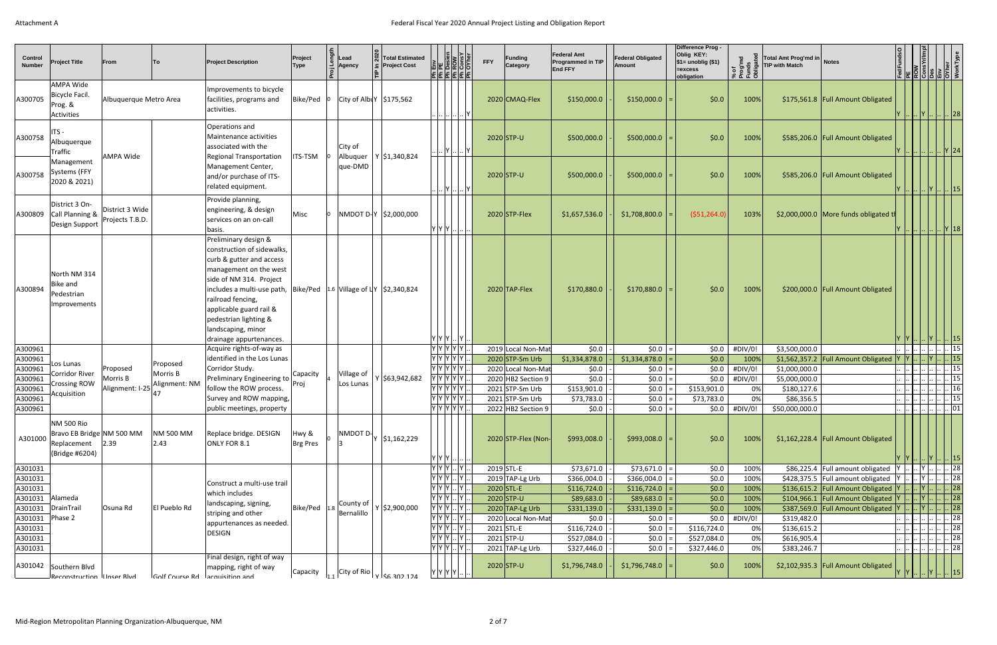| <b>Control</b><br><b>Number</b> | <b>Project Title</b>                                                                 | From                               | To                                     | <b>Project Description</b>                                                                                                                                                                                                                                                                                                                              | Project<br>Type   | Lead | Agency              | <b>Total Estimated</b><br>$\subseteq$ Project Cost         | $\frac{\frac{1}{2} \cdot \frac{1}{2} \cdot \frac{1}{2} \cdot \frac{1}{2} \cdot \frac{1}{2} \cdot \frac{1}{2} \cdot \frac{1}{2} \cdot \frac{1}{2} \cdot \frac{1}{2} \cdot \frac{1}{2} \cdot \frac{1}{2} \cdot \frac{1}{2} \cdot \frac{1}{2} \cdot \frac{1}{2} \cdot \frac{1}{2} \cdot \frac{1}{2} \cdot \frac{1}{2} \cdot \frac{1}{2} \cdot \frac{1}{2} \cdot \frac{1}{2} \cdot \frac{1}{2} \cdot \frac{1}{2} \cdot \frac{1}{2} \cdot \frac{1}{2} \cdot \frac$<br>$ \mathbf{E} \mathbf{E} \mathbf{E} \mathbf{E} \mathbf{E} $ |                              | <b>FFY</b> | Funding<br>Category             | <b>Federal Amt</b><br><b>Programmed in TIP</b><br><b>End FFY</b> | <b>Federal Obligated</b><br><b>Amount</b> | Difference Prog -<br>Oblig KEY:<br>$\$1=$ unoblig (\$1)<br>$=$ excess<br>obligation | ರ್_<br>ಶಾಶ್ವ<br>\$EBC | Total Amt Prog'md in Notes<br><b>TIP with Match</b> |                                             | $\begin{tabular}{ c c } \hline \texttt{Fedfunds} \\\hline \texttt{PE} \\\hline \texttt{Row} \\\hline \texttt{Conv} \\\hline \texttt{Cons}\ \texttt{Yr/Im} \\\hline \texttt{Eiv} \\\hline \texttt{OW} \\\hline \texttt{WokType} \\\hline \end{tabular}$ |                                                                 |
|---------------------------------|--------------------------------------------------------------------------------------|------------------------------------|----------------------------------------|---------------------------------------------------------------------------------------------------------------------------------------------------------------------------------------------------------------------------------------------------------------------------------------------------------------------------------------------------------|-------------------|------|---------------------|------------------------------------------------------------|-----------------------------------------------------------------------------------------------------------------------------------------------------------------------------------------------------------------------------------------------------------------------------------------------------------------------------------------------------------------------------------------------------------------------------------------------------------------------------------------------------------------------------|------------------------------|------------|---------------------------------|------------------------------------------------------------------|-------------------------------------------|-------------------------------------------------------------------------------------|-----------------------|-----------------------------------------------------|---------------------------------------------|--------------------------------------------------------------------------------------------------------------------------------------------------------------------------------------------------------------------------------------------------------|-----------------------------------------------------------------|
| A300705                         | AMPA Wide<br>Bicycle Facil.<br>Prog. &<br>Activities                                 | Albuquerque Metro Area             |                                        | Improvements to bicycle<br>facilities, programs and<br>activities.                                                                                                                                                                                                                                                                                      | $Bike/Ped$ 0      |      |                     | $ City\ of\ Alb Y $ \$175,562                              |                                                                                                                                                                                                                                                                                                                                                                                                                                                                                                                             |                              |            | 2020 CMAQ-Flex                  | \$150,000.0                                                      | $$150,000.0$ =                            | \$0.0\$                                                                             | 100%                  |                                                     | \$175,561.8   Full Amount Obligated         |                                                                                                                                                                                                                                                        | 28                                                              |
| A300758                         | ITS -<br>Albuquerque<br><b>Traffic</b>                                               | <b>AMPA Wide</b>                   |                                        | Operations and<br>Maintenance activities<br>associated with the<br><b>Regional Transportation</b>                                                                                                                                                                                                                                                       | <b>ITS-TSM</b>    |      | City of<br>Albuquer | $Y$ \$1,340,824                                            |                                                                                                                                                                                                                                                                                                                                                                                                                                                                                                                             | $\left    Y       Y \right $ |            | $2020$ STP-U                    | \$500,000.0                                                      | $$500,000.0$ =                            | \$0.0\$                                                                             | 100%                  |                                                     | \$585,206.0 Full Amount Obligated           |                                                                                                                                                                                                                                                        | .          Y  24                                                |
| A300758                         | Management<br>Systems (FFY<br>2020 & 2021)                                           |                                    |                                        | Management Center,<br>and/or purchase of ITS-<br>related equipment.                                                                                                                                                                                                                                                                                     |                   |      | que-DMD             |                                                            |                                                                                                                                                                                                                                                                                                                                                                                                                                                                                                                             | $\left    Y       Y \right $ |            | $2020$ STP-U                    | \$500,000.0                                                      | $$500,000.0$ =                            | \$0.0\$                                                                             | 100%                  |                                                     | \$585,206.0 Full Amount Obligated           | Y        Y      15                                                                                                                                                                                                                                     |                                                                 |
| A300809                         | District 3 On-<br>Call Planning &<br>Design Support                                  | District 3 Wide<br>Projects T.B.D. |                                        | Provide planning,<br>engineering, & design<br>services on an on-call<br>basis.                                                                                                                                                                                                                                                                          | Misc              |      |                     | NMDOT D-Y  \$2,000,000                                     | Y Y Y                                                                                                                                                                                                                                                                                                                                                                                                                                                                                                                       |                              |            | $2020$ STP-Flex                 | \$1,657,536.0                                                    | \$1,708,800.0                             | ( \$51,264.0)                                                                       | 103%                  |                                                     | \$2,000,000.0 More funds obligated th       |                                                                                                                                                                                                                                                        | .          Y  18                                                |
| A300894                         | North NM 314<br><b>Bike and</b><br>Pedestrian<br>Improvements                        |                                    |                                        | Preliminary design &<br>construction of sidewalks,<br>curb & gutter and access<br>management on the west<br>side of NM 314. Project<br>includes a multi-use path, $\vert$ Bike/Ped   1.6   Village of $\vert$ Y   \$2,340,824<br>railroad fencing,<br>applicable guard rail &<br>pedestrian lighting &<br>landscaping, minor<br>drainage appurtenances. |                   |      |                     |                                                            | Y Y Y  Y .                                                                                                                                                                                                                                                                                                                                                                                                                                                                                                                  |                              |            | $2020$ TAP-Flex                 | \$170,880.0                                                      | $$170,880.0$ =                            | \$0.0\$                                                                             | 100%                  |                                                     | \$200,000.0 Full Amount Obligated           |                                                                                                                                                                                                                                                        | $\left  \dots \right $   15                                     |
| A300961                         |                                                                                      |                                    |                                        | Acquire rights-of-way as                                                                                                                                                                                                                                                                                                                                |                   |      |                     |                                                            | $ \mathbf{Y} \mathbf{Y} \mathbf{Y} \mathbf{Y} \mathbf{Y} .$                                                                                                                                                                                                                                                                                                                                                                                                                                                                 |                              |            | 2019 Local Non-Mat              | \$0.0\$                                                          | $$0.0$ =                                  | \$0.0\$                                                                             | #DIV/0!               | \$3,500,000.0                                       |                                             |                                                                                                                                                                                                                                                        | 15                                                              |
| A300961                         | Los Lunas                                                                            |                                    | Proposed                               | identified in the Los Lunas                                                                                                                                                                                                                                                                                                                             |                   |      |                     |                                                            | Y Y Y Y Y                                                                                                                                                                                                                                                                                                                                                                                                                                                                                                                   |                              |            | $2020$ STP-Sm Urb               | \$1,334,878.0                                                    | $$1,334,878.0$ =                          | \$0.0\$                                                                             | 100%                  |                                                     | \$1,562,357.2 Full Amount Obligated $ Y Y $ |                                                                                                                                                                                                                                                        | .  Y      15                                                    |
| A300961                         | Corridor River                                                                       | Proposed                           | Morris B                               | Corridor Study.                                                                                                                                                                                                                                                                                                                                         | Capacity          |      | Village of          |                                                            | Y Y Y Y Y .                                                                                                                                                                                                                                                                                                                                                                                                                                                                                                                 |                              |            | 2020 Local Non-Mat              | \$0.0                                                            | $$0.0$ =                                  | \$0.0\$                                                                             | #DIV/0!               | \$1,000,000.0                                       |                                             |                                                                                                                                                                                                                                                        | 15                                                              |
| A300961                         | <b>Crossing ROW</b>                                                                  | Morris B                           | Alignment: NM                          | Preliminary Engineering to                                                                                                                                                                                                                                                                                                                              | Proj              |      | Los Lunas           | $Y$ \$63,942,682                                           | Y  Y  Y  Y  Y  .                                                                                                                                                                                                                                                                                                                                                                                                                                                                                                            |                              |            | 2020 HB2 Section 9              | \$0.0                                                            | $ 50.0 $ =                                | \$0.0\$                                                                             | #DIV/0!               | \$5,000,000.0                                       |                                             |                                                                                                                                                                                                                                                        | $\left   \right   \left   \right   \left   \right $ 15 $\left $ |
| A300961                         | Acquisition                                                                          | Alignment: I-25                    | 47                                     | follow the ROW process.                                                                                                                                                                                                                                                                                                                                 |                   |      |                     |                                                            | Y Y Y Y Y .                                                                                                                                                                                                                                                                                                                                                                                                                                                                                                                 |                              |            | $2021$ STP-Sm Urb               | \$153,901.0                                                      | $ 50.0 $ =                                | \$153,901.0                                                                         | 0%                    | \$180,127.6                                         |                                             |                                                                                                                                                                                                                                                        | $\ldots$ $\ldots$ $\ldots$ $\ldots$ 16                          |
| A300961                         |                                                                                      |                                    |                                        | Survey and ROW mapping,                                                                                                                                                                                                                                                                                                                                 |                   |      |                     |                                                            | Y Y Y Y Y .                                                                                                                                                                                                                                                                                                                                                                                                                                                                                                                 |                              |            | $2021$ STP-Sm Urb               | \$73,783.0                                                       | $$0.0$ =                                  | \$73,783.0                                                                          | $0\%$                 | \$86,356.5                                          |                                             |                                                                                                                                                                                                                                                        | 15                                                              |
| A300961                         |                                                                                      |                                    |                                        | public meetings, property                                                                                                                                                                                                                                                                                                                               |                   |      |                     |                                                            | Y Y Y Y Y .                                                                                                                                                                                                                                                                                                                                                                                                                                                                                                                 |                              |            | $2022$ HB2 Section 9            | \$0.0                                                            | $$0.0$ =                                  | \$0.0                                                                               | #DIV/0!               | \$50,000,000.0                                      |                                             |                                                                                                                                                                                                                                                        | .            01                                                 |
| A301000                         | <b>NM 500 Rio</b><br>Bravo EB Bridge NM 500 MM<br>Replacement 2.39<br>(Bridge #6204) |                                    | <b>NM 500 MM</b><br>$ 2.43\rangle$     | Replace bridge. DESIGN<br>ONLY FOR 8.1                                                                                                                                                                                                                                                                                                                  | Hwy &<br>Brg Pres |      | NMDOT D-            | \$1,162,229                                                | Y Y Y   .                                                                                                                                                                                                                                                                                                                                                                                                                                                                                                                   |                              |            | 2020 STP-Flex (Non-             | \$993,008.0                                                      | $$993,008.0$ =                            | \$0.0\$                                                                             | 100%                  |                                                     | \$1,162,228.4 Full Amount Obligated         |                                                                                                                                                                                                                                                        | 15                                                              |
| A301031                         |                                                                                      |                                    |                                        |                                                                                                                                                                                                                                                                                                                                                         |                   |      |                     |                                                            | $Y Y Y $ $Y $                                                                                                                                                                                                                                                                                                                                                                                                                                                                                                               |                              |            | $2019$ STL-E                    | \$73,671.0                                                       | $$73,671.0$ =                             | \$0.0                                                                               | 100%                  |                                                     | $$86,225.4$ Full amount obligated           |                                                                                                                                                                                                                                                        | $\left   \right $ 28                                            |
| A301031                         |                                                                                      |                                    |                                        | Construct a multi-use trail                                                                                                                                                                                                                                                                                                                             |                   |      |                     |                                                            | $ Y Y Y $ $ Y $                                                                                                                                                                                                                                                                                                                                                                                                                                                                                                             |                              |            | $2019$ TAP-Lg Urb               | \$366,004.0                                                      | \$366,004.0                               | \$0.0                                                                               | 100%                  |                                                     | \$428,375.5   Full amount obligated         |                                                                                                                                                                                                                                                        | $\ldots$ $\lfloor .28 \rfloor$                                  |
| A301031                         |                                                                                      |                                    |                                        | which includes                                                                                                                                                                                                                                                                                                                                          |                   |      |                     |                                                            | $Y Y Y $ $ Y $ .                                                                                                                                                                                                                                                                                                                                                                                                                                                                                                            |                              |            | $2020$ STL-E                    | \$116,724.0                                                      | $$116,724.0$ =                            | \$0.0                                                                               | 100%                  |                                                     | \$136,615.2   Full Amount Obligated   Y     |                                                                                                                                                                                                                                                        | Y        28                                                     |
| A301031                         | Alameda                                                                              |                                    |                                        | landscaping, signing,                                                                                                                                                                                                                                                                                                                                   |                   |      | County of           |                                                            | , Υ   Υ   /   Υ   .                                                                                                                                                                                                                                                                                                                                                                                                                                                                                                         |                              |            | $2020$ STP-U                    | \$89,683.0                                                       | $$89,683.0$ =                             | \$0.0\$                                                                             | 100%                  |                                                     | \$104,966.1 Full Amount Obligated Y         |                                                                                                                                                                                                                                                        | $\left\vert \right\vert$ 28 $\right\vert$                       |
| A301031                         | DrainTrail                                                                           | Osuna Rd                           | El Pueblo Rd                           | striping and other                                                                                                                                                                                                                                                                                                                                      | Bike/Ped 1.8      |      | Bernalillo          | $Y$ \$2,900,000                                            | $Y Y Y $ $ Y $                                                                                                                                                                                                                                                                                                                                                                                                                                                                                                              |                              |            | 2020 TAP-Lg Urb                 | \$331,139.0                                                      | \$331,139.0                               | \$0.0\$                                                                             | 100%                  |                                                     | \$387,569.0   Full Amount Obligated   Y     |                                                                                                                                                                                                                                                        | 28                                                              |
| A301031                         | Phase 2                                                                              |                                    |                                        | appurtenances as needed.                                                                                                                                                                                                                                                                                                                                |                   |      |                     |                                                            | $Y Y Y $ $Y $                                                                                                                                                                                                                                                                                                                                                                                                                                                                                                               |                              |            | 2020 Local Non-Mat              | \$0.0                                                            | $$0.0$ =                                  | \$0.0\$                                                                             | #DIV/0!               | \$319,482.0                                         |                                             |                                                                                                                                                                                                                                                        | 28                                                              |
| A301031                         |                                                                                      |                                    |                                        | <b>DESIGN</b>                                                                                                                                                                                                                                                                                                                                           |                   |      |                     |                                                            | $ Y Y Y $ $ Y $                                                                                                                                                                                                                                                                                                                                                                                                                                                                                                             |                              |            | $2021$ STL-E                    | \$116,724.0                                                      | $$0.0$   =                                | \$116,724.0                                                                         | 0%                    | \$136,615.2                                         |                                             |                                                                                                                                                                                                                                                        | $\ldots$ $\lfloor .28 \rfloor$                                  |
| A301031                         |                                                                                      |                                    |                                        |                                                                                                                                                                                                                                                                                                                                                         |                   |      |                     |                                                            | Y[Y Y  Y                                                                                                                                                                                                                                                                                                                                                                                                                                                                                                                    |                              |            | $2021$ STP-U                    | \$527,084.0                                                      | $ 50.0 $ =                                | \$527,084.0                                                                         | 0%                    | \$616,905.4                                         |                                             |                                                                                                                                                                                                                                                        | $\left                 \right $ 28                              |
| A301031                         | A301042 Southern Blvd<br>Reconstruction Illnser Rivd                                 |                                    | $ G$ olf Course Rd $ S$ couristion and | Final design, right of way<br>mapping, right of way                                                                                                                                                                                                                                                                                                     | Capacity          |      |                     | $\frac{1}{111}$ City of Rio $\frac{1}{11}$ $\frac{1}{111}$ | $Y Y Y $ $ Y $<br>$ Y Y Y Y  $                                                                                                                                                                                                                                                                                                                                                                                                                                                                                              |                              |            | 2021 TAP-Lg Urb<br>$2020$ STP-U | \$327,446.0<br>\$1,796,748.0                                     | $$0.0$   =<br>$$1,796,748.0$ =            | \$327,446.0<br>\$0.0\$                                                              | 0%<br>100%            | \$383,246.7                                         | \$2,102,935.3 Full Amount Obligated         |                                                                                                                                                                                                                                                        | $\left   \right $ $\left  28 \right $<br>.  Y      15           |
|                                 |                                                                                      |                                    |                                        |                                                                                                                                                                                                                                                                                                                                                         |                   |      |                     |                                                            |                                                                                                                                                                                                                                                                                                                                                                                                                                                                                                                             |                              |            |                                 |                                                                  |                                           |                                                                                     |                       |                                                     |                                             |                                                                                                                                                                                                                                                        |                                                                 |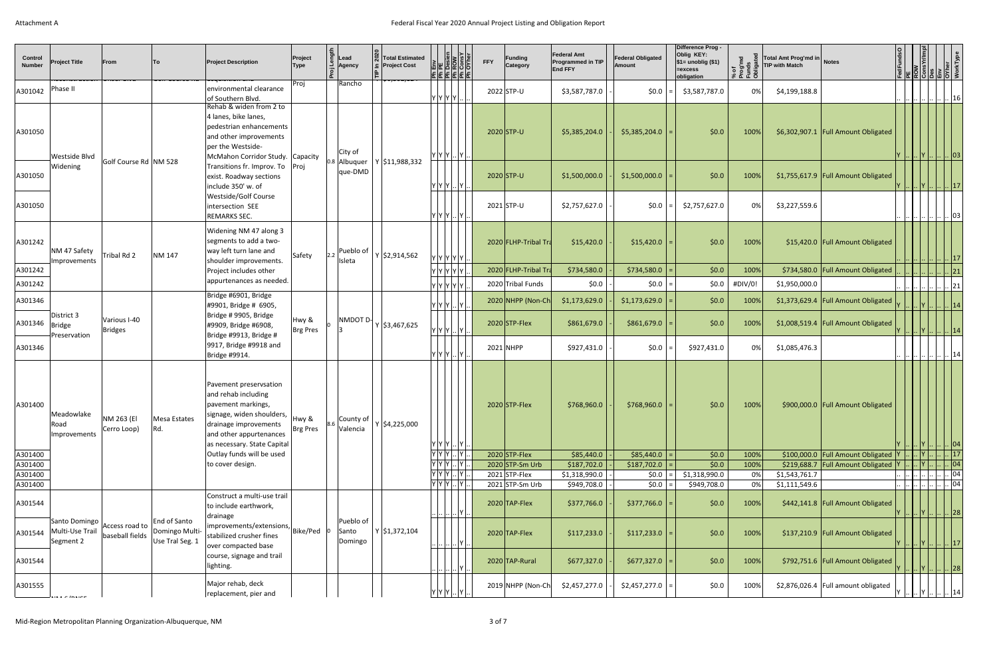| <b>Control</b><br><b>Number</b> | <b>Project Title</b><br><del>וכנט וסמוט   הטוסטו ומעט</del>                | From                              | Tο.<br>oon course nu                              | <b>Project Description</b><br><del> acquisition anu</del>                                                                                                                           | Project<br><b>Type</b> | Lead<br>Agency                | <b>Total Estimated</b><br><b>Project Cost</b><br>$\rightarrow$ 70,302,127 | $\begin{array}{c c}\n\hline\n\text{E} & \text{if } \text{E} \\ \hline\n\text{E} & \text{if } \text{E} \\ \hline\n\text{Dessien} & \text{E} \\ \hline\n\text{Dessient} & \text{F} \\ \hline\n\text{F} & \text{F} \\ \hline\n\text{F} & \text{F} \\ \hline\n\text{F} & \text{F} \\ \hline\n\text{F} & \text{F} \\ \hline\n\text{F} & \text{F} \\ \hline\n\text{F} & \text{F} \\ \hline\n\text{F} & \text{F} \\ \hline\n\text{F} & \text{F} \\ \hline\n$<br>리뢰코 로 리코 | <b>FFY</b> | <b>Funding</b><br>Category           | <b>Federal Amt</b><br>Programmed in TIP<br><b>End FFY</b> | <b>Federal Obligated</b><br><b>Amount</b> | <b>Difference Prog-</b><br>Oblig KEY:<br>$\frac{1}{2}$ \$1= unoblig (\$1)<br>=excess<br>obligation | of<br>oghe<br>ones<br>ះ ភូមិ | Total Amt Prog'md in Notes<br><b>TIP with Match</b> |                                       |  | <b>TOW ROW STATES</b><br>Cons Yr/Imp<br>Des Giner O'Vher VorkType<br>WorkType                     |
|---------------------------------|----------------------------------------------------------------------------|-----------------------------------|---------------------------------------------------|-------------------------------------------------------------------------------------------------------------------------------------------------------------------------------------|------------------------|-------------------------------|---------------------------------------------------------------------------|-------------------------------------------------------------------------------------------------------------------------------------------------------------------------------------------------------------------------------------------------------------------------------------------------------------------------------------------------------------------------------------------------------------------------------------------------------------------|------------|--------------------------------------|-----------------------------------------------------------|-------------------------------------------|----------------------------------------------------------------------------------------------------|------------------------------|-----------------------------------------------------|---------------------------------------|--|---------------------------------------------------------------------------------------------------|
| A301042                         | Phase II                                                                   |                                   |                                                   | environmental clearance<br>of Southern Blvd.                                                                                                                                        | Proj                   | Rancho                        |                                                                           | $ Y Y Y Y  $                                                                                                                                                                                                                                                                                                                                                                                                                                                      |            | 2022 STP-U                           | \$3,587,787.0                                             | \$0.0\$                                   | \$3,587,787.0                                                                                      | 0%                           | \$4,199,188.8                                       |                                       |  | <u>        </u>    16 <sub> </sub>                                                                |
| A301050                         | Westside Blvd                                                              |                                   |                                                   | Rehab & widen from 2 to<br>4 lanes, bike lanes,<br>pedestrian enhancements<br>and other improvements<br>per the Westside-<br>McMahon Corridor Study. Capacity                       |                        | City of                       |                                                                           | Y Y Y  Y                                                                                                                                                                                                                                                                                                                                                                                                                                                          |            | $2020$ STP-U                         | \$5,385,204.0                                             | $$5,385,204.0$ =                          | \$0.0                                                                                              | 100%                         |                                                     | \$6,302,907.1   Full Amount Obligated |  | .      Y        03                                                                                |
| A301050                         | Widening                                                                   | Golf Course Rd   NM 528           |                                                   | Transitions fr. Improv. To   Proj<br>exist. Roadway sections<br>include 350' w. of                                                                                                  |                        | 0.8 Albuquer<br>que-DMD       | Y \$11,988,332                                                            | Y Y Y  Y                                                                                                                                                                                                                                                                                                                                                                                                                                                          |            | $2020$ STP-U                         | \$1,500,000.0                                             | \$1,500,000.0                             | \$0.0                                                                                              | 100%                         |                                                     | \$1,755,617.9   Full Amount Obligated |  | Y      Y        17                                                                                |
| A301050                         |                                                                            |                                   |                                                   | Westside/Golf Course<br>intersection SEE<br>REMARKS SEC.                                                                                                                            |                        |                               |                                                                           | Y Y Y  Y                                                                                                                                                                                                                                                                                                                                                                                                                                                          |            | $2021$ STP-U                         | \$2,757,627.0                                             | $$0.0$   =                                | \$2,757,627.0                                                                                      | 0%                           | \$3,227,559.6                                       |                                       |  | $\mathbb{L}$ . $\mathbb{L}$ $\mathbb{L}$ $\mathbb{L}$ $\mathbb{O}3$ $\mathbb{L}$                  |
| A301242                         | NM 47 Safety<br>Improvements                                               | Tribal Rd 2                       | NM 147                                            | Widening NM 47 along 3<br>segments to add a two-<br>way left turn lane and<br>shoulder improvements.                                                                                | Safety                 | Pueblo of<br>Isleta           | $ Y $ \$2,914,562                                                         | Y  Y  Y  Y  Y                                                                                                                                                                                                                                                                                                                                                                                                                                                     |            | 2020 FLHP-Tribal Tra                 | \$15,420.0                                                | $$15,420.0$ =                             | \$0.0                                                                                              | 100%                         |                                                     | \$15,420.0 Full Amount Obligated      |  | 17                                                                                                |
| A301242                         |                                                                            |                                   |                                                   | Project includes other                                                                                                                                                              |                        |                               |                                                                           | Y Y Y Y Y .                                                                                                                                                                                                                                                                                                                                                                                                                                                       |            | 2020 FLHP-Tribal Tra                 | \$734,580.0                                               | $$734,580.0$ =                            | \$0.0                                                                                              | 100%                         |                                                     | \$734,580.0 Full Amount Obligated     |  | $ 21\rangle$                                                                                      |
| A301242                         |                                                                            |                                   |                                                   | appurtenances as needed.                                                                                                                                                            |                        |                               |                                                                           | Y Y Y Y Y I.                                                                                                                                                                                                                                                                                                                                                                                                                                                      |            | 2020 Tribal Funds                    | \$0.0\$                                                   | $ 50.0 $ =                                | \$0.0                                                                                              | #DIV/0!                      | \$1,950,000.0                                       |                                       |  | $\vert \vert 21$                                                                                  |
| A301346                         | District 3                                                                 |                                   |                                                   | Bridge #6901, Bridge<br>#9901, Bridge # 6905,<br>Bridge # 9905, Bridge                                                                                                              |                        |                               |                                                                           | $Y Y Y $ $Y $                                                                                                                                                                                                                                                                                                                                                                                                                                                     |            | 2020 NHPP (Non-Ch                    | \$1,173,629.0                                             | $$1,173,629.0$ =                          | \$0.0                                                                                              | 100%                         |                                                     | \$1,373,629.4 Full Amount Obligated   |  |                                                                                                   |
| A301346                         | Bridge<br>Preservation                                                     | Various I-40<br><b>Bridges</b>    |                                                   | #9909, Bridge #6908,<br>Bridge #9913, Bridge #                                                                                                                                      | Hwy &<br>Brg Pres      | NMDOT D-                      | Y \$3,467,625                                                             | Y Y Y  Y                                                                                                                                                                                                                                                                                                                                                                                                                                                          |            | $2020$ STP-Flex                      | \$861,679.0                                               | $$861,679.0$ =                            | \$0.0                                                                                              | 100%                         |                                                     | \$1,008,519.4 Full Amount Obligated   |  | Y      Y        14                                                                                |
| A301346                         |                                                                            |                                   |                                                   | 9917, Bridge #9918 and<br>Bridge #9914.                                                                                                                                             |                        |                               |                                                                           | Y Y Y  Y                                                                                                                                                                                                                                                                                                                                                                                                                                                          |            | 2021 NHPP                            | \$927,431.0                                               | $ 50.0 $ =                                | \$927,431.0                                                                                        | 0%                           | \$1,085,476.3                                       |                                       |  | 14                                                                                                |
| A301400                         | Meadowlake<br>Road<br>Improvements                                         | NM 263 (EI<br>Cerro Loop)         | Mesa Estates<br>Rd.                               | Pavement preservsation<br>and rehab including<br>pavement markings,<br>signage, widen shoulders,<br>drainage improvements<br>and other appurtenances<br>as necessary. State Capital | Hwy &<br>Brg Pres      | County of<br>Valencia         | $Y$ \$4,225,000                                                           | $ Y Y Y $ $ Y $ $ $                                                                                                                                                                                                                                                                                                                                                                                                                                               |            | $2020$ STP-Flex                      | \$768,960.0                                               | $$768,960.0$ =                            | \$0.0                                                                                              | 100%                         |                                                     | \$900,000.0 Full Amount Obligated     |  | $\left  \dots \left  \dots \right  Y \right  \dots \left  \dots \left  \text{O4} \right  \right $ |
| A301400                         |                                                                            |                                   |                                                   | Outlay funds will be used                                                                                                                                                           |                        |                               |                                                                           | Y[Y Y  Y].                                                                                                                                                                                                                                                                                                                                                                                                                                                        |            | $2020$ STP-Flex                      | \$85,440.0                                                | $$85,440.0$ =                             | \$0.0                                                                                              | 100%                         |                                                     | \$100,000.0 Full Amount Obligated Y   |  | $\ 17\ $                                                                                          |
| A301400<br>A301400              |                                                                            |                                   |                                                   | to cover design.                                                                                                                                                                    |                        |                               |                                                                           | $Y Y Y $ $Y $<br>$Y Y Y $ $Y $ .                                                                                                                                                                                                                                                                                                                                                                                                                                  |            | $2020$ STP-Sm Urb<br>$2021$ STP-Flex | \$187,702.0<br>\$1,318,990.0                              | \$187,702.0<br>$ 50.0 $ =                 | \$0.0<br>\$1,318,990.0                                                                             | 100%<br>0%                   | \$1,543,761.7                                       | \$219,688.7 Full Amount Obligated Y   |  | $ Y $ $  n $ 04<br> 04                                                                            |
| A301400                         |                                                                            |                                   |                                                   |                                                                                                                                                                                     |                        |                               |                                                                           | Y[Y Y  Y                                                                                                                                                                                                                                                                                                                                                                                                                                                          |            | $2021$ STP-Sm Urb                    | \$949,708.0                                               | $ 50.0 $ =                                | \$949,708.0                                                                                        | 0%                           | \$1,111,549.6                                       |                                       |  | 04                                                                                                |
| A301544                         |                                                                            |                                   |                                                   | Construct a multi-use trail<br>to include earthwork,<br>drainage                                                                                                                    |                        |                               |                                                                           | $\cdot$   $\cdot$   $\cdot$   $\cdot$   $\cdot$   $\cdot$                                                                                                                                                                                                                                                                                                                                                                                                         |            | $2020$ TAP-Flex                      | \$377,766.0                                               | $$377,766.0$ =                            | \$0.0\$                                                                                            | 100%                         |                                                     | \$442,141.8   Full Amount Obligated   |  | Y      Y        28                                                                                |
| A301544                         | Santo Domingo<br>Multi-Use Trail<br>Segment 2                              | Access road to<br>baseball fields | End of Santo<br>Domingo Multi-<br>Use Tral Seg. 1 | $\left  \text{improvements/extensions.} \right $ Bike/Ped $\left  \text{o} \right $<br>stabilized crusher fines<br>over compacted base                                              |                        | Pueblo of<br>Santo<br>Domingo | $Y$ \$1,372,104                                                           | $\cdot \cdot$ $\cdot \cdot \cdot$ $\cdot \cdot$ $\cdot \cdot$ $\cdot \cdot$ $\cdot \cdot$ $\cdot$                                                                                                                                                                                                                                                                                                                                                                 |            | $2020$ TAP-Flex                      | \$117,233.0                                               | $$117,233.0$ =                            | \$0.0\$                                                                                            | 100%                         |                                                     | \$137,210.9 Full Amount Obligated     |  | $ Y $ $ Y $ $  17 $                                                                               |
| A301544                         |                                                                            |                                   |                                                   | course, signage and trail<br>lighting.                                                                                                                                              |                        |                               |                                                                           | $\begin{array}{c} \ldots   \ldots   \ldots   \mathsf{Y}   \ldots \end{array}$                                                                                                                                                                                                                                                                                                                                                                                     |            | 2020 TAP-Rural                       | \$677,327.0                                               | $$677,327.0$ =                            | \$0.0                                                                                              | 100%                         |                                                     | \$792,751.6 Full Amount Obligated     |  | $\left        Y            28 \right $                                                            |
| A301555                         | $\mathbf{A}$ is $\mathbf{A} \in \mathbf{A}$ in $\mathbf{A} \in \mathbf{A}$ |                                   |                                                   | Major rehab, deck<br>replacement, pier and                                                                                                                                          |                        |                               |                                                                           | Y Y Y  Y                                                                                                                                                                                                                                                                                                                                                                                                                                                          |            | 2019 NHPP (Non-Ch                    | \$2,457,277.0                                             | $$2,457,277.0$ =                          | \$0.0                                                                                              | 100%                         |                                                     | \$2,876,026.4   Full amount obligated |  | <u> Y      Y        14  </u>                                                                      |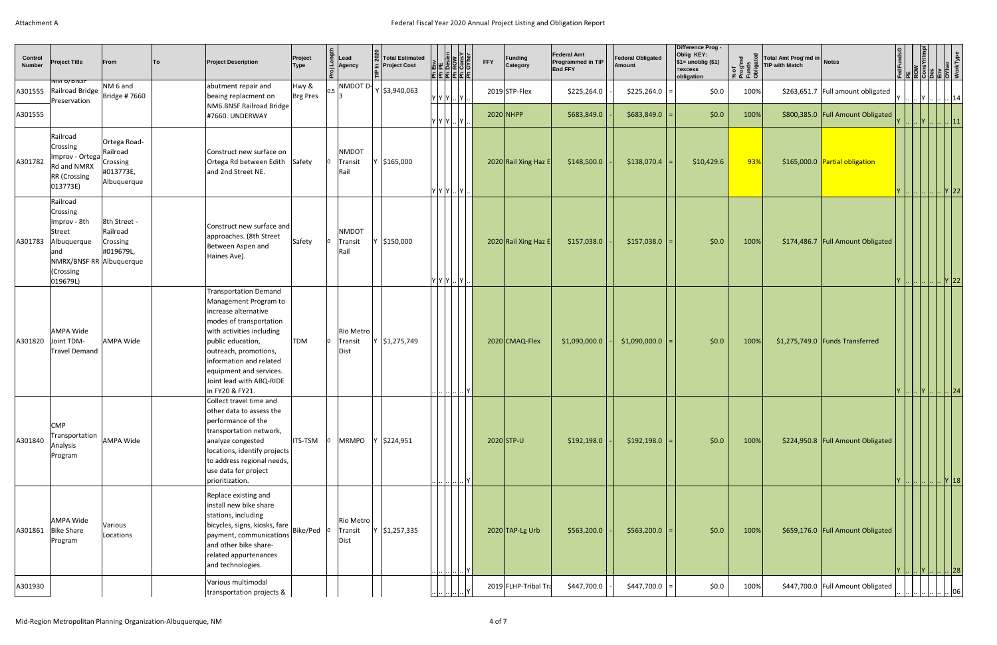|                          |                                                                                                                            |                                                      |    |                                                                                                                                                                                                                                                                                          |                        |                                 |                                               |                                                                                                                                                                                       |            |                      |                                                                  |                                           | Difference Prog -                                                              |                                          |                                                     |                                     |                                                                                                       |                                                                       |             |  |
|--------------------------|----------------------------------------------------------------------------------------------------------------------------|------------------------------------------------------|----|------------------------------------------------------------------------------------------------------------------------------------------------------------------------------------------------------------------------------------------------------------------------------------------|------------------------|---------------------------------|-----------------------------------------------|---------------------------------------------------------------------------------------------------------------------------------------------------------------------------------------|------------|----------------------|------------------------------------------------------------------|-------------------------------------------|--------------------------------------------------------------------------------|------------------------------------------|-----------------------------------------------------|-------------------------------------|-------------------------------------------------------------------------------------------------------|-----------------------------------------------------------------------|-------------|--|
| Control<br><b>Number</b> | <b>Project Title</b>                                                                                                       | From                                                 | To | <b>Project Description</b>                                                                                                                                                                                                                                                               | Project<br><b>Type</b> | Lead<br>Agency                  | <b>Total Estimated</b><br><b>Project Cost</b> | $\frac{ \overline{E} \overline{E}}{ \overline{E} \overline{B}}\frac{ \overline{E} \overline{B}}{ \overline{B} \overline{B}}}{ \overline{B} \overline{B} \overline{B}}$<br>EE[E E E E  | <b>FFY</b> | Funding<br>Category  | <b>Federal Amt</b><br><b>Programmed in TIP</b><br><b>End FFY</b> | <b>Federal Obligated</b><br><b>Amount</b> | Oblig KEY:<br>$\frac{1}{2}$ \$1= unoblig (\$1)<br>$ $ = $excess$<br>obligation | of<br>og'md<br>unds<br><b>ីខេត្ត ដ</b> ៏ | Total Amt Prog'md in Notes<br><b>TIP with Match</b> |                                     | $\frac{1}{2}$                                                                                         | r L<br>ROW<br>ConsYr/Imp<br>Dis Liny<br>O'Ner<br>WorkType<br>WorkType |             |  |
| A301555                  | <b>NM 6/BNSF</b><br>Railroad Bridge<br>Preservation                                                                        | NM 6 and<br>Bridge #7660                             |    | abutment repair and<br>beaing replacment on                                                                                                                                                                                                                                              | Hwy &<br>Brg Pres      | NMDOT D-                        | $Y$ \$3,940,063                               | $ \mathsf{Y} \mathsf{Y} \mathsf{Y} \mathsf{Y} \mathsf{I}$                                                                                                                             |            | $2019$ STP-Flex      | \$225,264.0                                                      | \$225,264.0                               | \$0.0                                                                          | 100%                                     |                                                     | \$263,651.7   Full amount obligated |                                                                                                       | 'Y      Y        14                                                   |             |  |
| A301555                  |                                                                                                                            |                                                      |    | NM6.BNSF Railroad Bridge<br>#7660. UNDERWAY                                                                                                                                                                                                                                              |                        |                                 |                                               | Y Y Y  Y                                                                                                                                                                              |            | $2020$ NHPP          | \$683,849.0                                                      | \$683,849.0                               | \$0.0                                                                          | 100%                                     |                                                     | \$800,385.0   Full Amount Obligated |                                                                                                       |                                                                       | Y        11 |  |
| A301782                  | Railroad<br>Crossing<br>Improv - Ortega Crossing<br>Rd and NMRX<br>RR (Crossing<br>013773E)                                | Ortega Road-<br>Railroad<br>#013773E,<br>Albuquerque |    | Construct new surface on<br>Ortega Rd between Edith Safety<br>and 2nd Street NE.                                                                                                                                                                                                         |                        | <b>NMDOT</b><br>Transit<br>Rail | \$165,000                                     | Y Y Y  Y                                                                                                                                                                              |            | 2020 Rail Xing Haz E | \$148,500.0                                                      | \$138,070.4                               | \$10,429.6                                                                     | 93%                                      |                                                     | \$165,000.0 Partial obligation      |                                                                                                       | ′            Y  22                                                    |             |  |
| A301783                  | Railroad<br>Crossing<br>Improv - 8th<br>Street<br>Albuquerque<br>land<br>NMRX/BNSF RR Albuquerque<br>(Crossing<br>019679L) | 8th Street -<br>Railroad<br>Crossing<br>#019679L,    |    | Construct new surface and<br>approaches. (8th Street<br>Between Aspen and<br>Haines Ave).                                                                                                                                                                                                | Safety                 | NMDOT<br>Transit<br>Rail        | \$150,000                                     | Y Y Y  Y                                                                                                                                                                              |            | 2020 Rail Xing Haz E | \$157,038.0                                                      | $$157,038.0$ =                            | \$0.0                                                                          | 100%                                     |                                                     | \$174,486.7 Full Amount Obligated   | $\vert$ Y $\vert$ $\vert$ $\vert$ $\vert$ $\vert$ Y $\vert$ 22 $\vert$                                |                                                                       |             |  |
| A301820                  | AMPA Wide<br>Joint TDM-<br><b>Travel Demand</b>                                                                            | <b>AMPA Wide</b>                                     |    | <b>Transportation Demand</b><br>Management Program to<br>increase alternative<br>modes of transportation<br>with activities including<br>public education,<br>outreach, promotions,<br>information and related<br>equipment and services.<br>Joint lead with ABQ-RIDE<br>in FY20 & FY21. | <b>TDM</b>             | Rio Metro<br>Transit<br>Dist    | \$1,275,749                                   | Y                                                                                                                                                                                     |            | 2020 CMAQ-Flex       | \$1,090,000.0                                                    | \$1,090,000.0                             | \$0.0                                                                          | 100%                                     |                                                     | \$1,275,749.0   Funds Transferred   |                                                                                                       | Y      Y        24                                                    |             |  |
| A301840                  | <b>CMP</b><br>Transportation<br>Analysis<br>Program                                                                        | AMPA Wide                                            |    | Collect travel time and<br>other data to assess the<br>performance of the<br>transportation network,<br>analyze congested<br>locations, identify projects<br>to address regional needs,<br>use data for project<br>prioritization.                                                       | <b>ITS-TSM</b>         | MRMPO                           | \$224,951                                     | $\frac{1}{2}$ $\frac{1}{2}$ $\frac{1}{2}$ $\frac{1}{2}$ $\frac{1}{2}$ $\frac{1}{2}$ $\frac{1}{2}$ $\frac{1}{2}$ $\frac{1}{2}$ $\frac{1}{2}$ $\frac{1}{2}$ $\frac{1}{2}$ $\frac{1}{2}$ |            | $2020$ STP-U         | \$192,198.0                                                      | $$192,198.0$ =                            | \$0.0\$                                                                        | 100%                                     |                                                     | \$224,950.8 Full Amount Obligated   | $ Y $ $     Y 18 $                                                                                    |                                                                       |             |  |
| A301861                  | AMPA Wide<br>Bike Share<br>Program                                                                                         | Various<br>Locations                                 |    | Replace existing and<br>install new bike share<br>stations, including<br>bicycles, signs, kiosks, fare $\vert$ Bike/Ped $\vert$ <sup>0</sup><br>$ $ payment, communications $ $<br>and other bike share-<br>related appurtenances<br>and technologies.                                   |                        | Rio Metro<br>Transit<br>Dist    | \$1,257,335                                   |                                                                                                                                                                                       |            | $2020$ TAP-Lg Urb    | \$563,200.0                                                      | $$563,200.0$ =                            | \$0.0\$                                                                        | 100%                                     |                                                     | \$659,176.0   Full Amount Obligated |                                                                                                       | $\left        Y            28 \right $                                |             |  |
| A301930                  |                                                                                                                            |                                                      |    | Various multimodal<br>transportation projects &                                                                                                                                                                                                                                          |                        |                                 |                                               | $\lfloor \cdot \cdot \rfloor$ $\lfloor \cdot \cdot \rfloor$ $\lfloor \mathsf{Y} \rfloor$                                                                                              |            | 2019 FLHP-Tribal Tra | \$447,700.0                                                      | $$447,700.0$ =                            | \$0.0                                                                          | 100%                                     |                                                     | \$447,700.0 Full Amount Obligated   | $\left  \dots \left  \dots \left  \dots \right  \dots \right  \dots \left  \text{OS} \right  \right $ |                                                                       |             |  |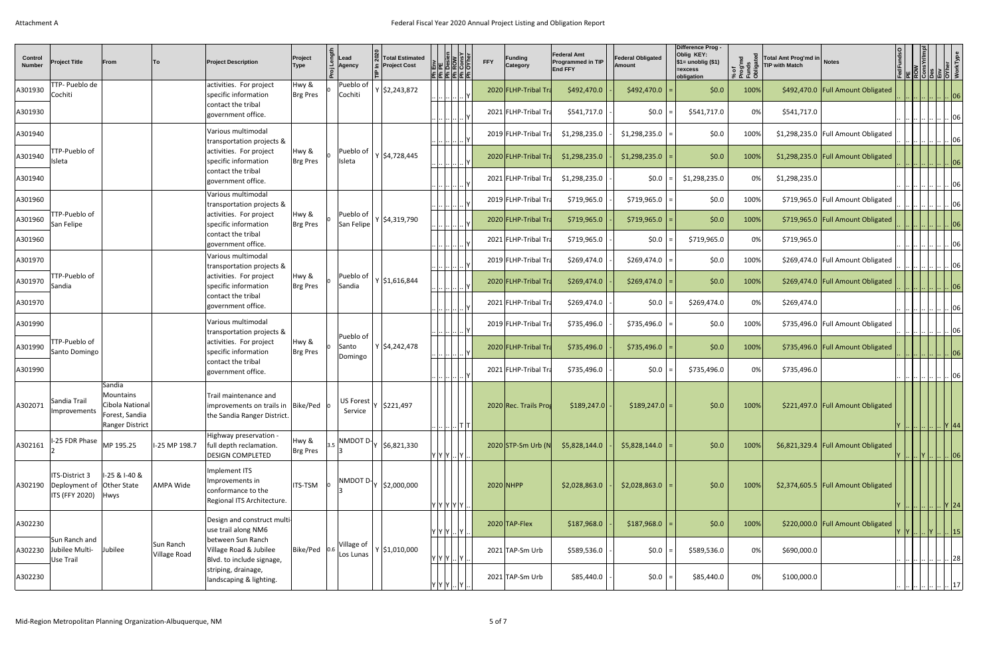| <b>Control</b><br><b>Number</b> | <b>Project Title</b>                                                 | From                                                                        | ∣To                              | <b>Project Description</b>                                                                      | Project<br>Type   | $\zeta$   Lead<br>Agency      | <b>Total Estimated</b><br>$\subseteq$ Project Cost | $\frac{ \overline{E} \overline{E}}{ \overline{E} \overline{B}}\frac{ \overline{E} \overline{B}}{ \overline{E} \overline{B}}}{ \overline{E} \overline{B} \overline{B}}$ |         | <b>FFY</b> | <b>Funding</b><br>Category | <b>Federal Amt</b><br><b>Programmed in TIP</b><br><b>End FFY</b> | <b>Federal Obligated</b><br>Amount | Difference Prog -<br>Oblig KEY:<br>$\frac{1}{2}$ \$1= unoblig (\$1)<br>=excess<br>obligation | of<br>og'md<br>unds<br>ூ | Total Amt Prog'md in Notes<br><b>TIP with Match</b> |                                       |                                                                        |  | ROW<br>ConsYr/Imp<br>Des<br>O'Vher<br>O'Ver<br>WorkType                                 |
|---------------------------------|----------------------------------------------------------------------|-----------------------------------------------------------------------------|----------------------------------|-------------------------------------------------------------------------------------------------|-------------------|-------------------------------|----------------------------------------------------|------------------------------------------------------------------------------------------------------------------------------------------------------------------------|---------|------------|----------------------------|------------------------------------------------------------------|------------------------------------|----------------------------------------------------------------------------------------------|--------------------------|-----------------------------------------------------|---------------------------------------|------------------------------------------------------------------------|--|-----------------------------------------------------------------------------------------|
| A301930                         | TTP- Pueblo de<br>Cochiti                                            |                                                                             |                                  | activities. For project<br>specific information                                                 | Hwy &<br>Brg Pres | Pueblo of<br>Cochiti          | $Y$ \$2,243,872                                    | $\cdot$ $\left  \ldots \right  \ldots \left  \ldots \right $ $\mid$ $\mid$ $\mid$                                                                                      |         |            | 2020 FLHP-Tribal Tra       | \$492,470.0                                                      | $$492,470.0$ =                     | \$0.0                                                                                        | 100%                     |                                                     | \$492,470.0   Full Amount Obligated   |                                                                        |  | $\cdot \cdot 06$                                                                        |
| A301930                         |                                                                      |                                                                             |                                  | contact the tribal<br>government office.                                                        |                   |                               |                                                    | .       Y                                                                                                                                                              |         |            | 2021 FLHP-Tribal Tra       | \$541,717.0                                                      | $ 50.0 $ =                         | \$541,717.0                                                                                  | 0%                       | \$541,717.0                                         |                                       |                                                                        |  | 06                                                                                      |
| A301940                         |                                                                      |                                                                             |                                  | Various multimodal<br>transportation projects &                                                 |                   |                               |                                                    | <u>            Y</u>                                                                                                                                                   |         |            | 2019 FLHP-Tribal Tra       | \$1,298,235.0                                                    | $$1,298,235.0$ =                   | \$0.0                                                                                        | 100%                     |                                                     | \$1,298,235.0   Full Amount Obligated |                                                                        |  | $\frac{ \cdots \cdots \cdots \cdots }{ \cdots }$ $ 06$                                  |
| A301940                         | TTP-Pueblo of<br>Isleta                                              |                                                                             |                                  | activities. For project<br>specific information                                                 | Hwy &<br>Brg Pres | Pueblo of<br>Isleta           | Y 54,728,445                                       | $\cdot$   $\cdot$   $\cdot$   $\cdot$   $\cdot$   $\cdot$   $\cdot$                                                                                                    |         |            | 2020 FLHP-Tribal Tra       | \$1,298,235.0                                                    | $$1,298,235.0$ =                   | \$0.0                                                                                        | 100%                     |                                                     | \$1,298,235.0   Full Amount Obligated |                                                                        |  | $\, . \, 06$                                                                            |
| A301940                         |                                                                      |                                                                             |                                  | contact the tribal<br>government office.                                                        |                   |                               |                                                    | .                                                                                                                                                                      |         |            | 2021 FLHP-Tribal Tra       | \$1,298,235.0                                                    | \$0.0                              | \$1,298,235.0                                                                                | 0%                       | \$1,298,235.0                                       |                                       |                                                                        |  | 06                                                                                      |
| A301960                         |                                                                      |                                                                             |                                  | Various multimodal<br>transportation projects &                                                 |                   |                               |                                                    | $\frac{1}{2}$ . $\left  \ldots \right $ . $\left  \ldots \right $ . $\left  \mathsf{Y} \right $                                                                        |         |            | 2019 FLHP-Tribal Tra       | \$719,965.0                                                      | $$719,965.0$ =                     | \$0.0                                                                                        | 100%                     |                                                     | \$719,965.0 Full Amount Obligated     |                                                                        |  | $\vert$  06                                                                             |
| A301960                         | TTP-Pueblo of<br>San Felipe                                          |                                                                             |                                  | activities. For project<br>specific information                                                 | Hwy &<br>Brg Pres | Pueblo of<br>San Felipe       | $Y$ \$4,319,790                                    | <u>         .</u> .      Y <sub>.</sub>                                                                                                                                |         |            | 2020 FLHP-Tribal Tra       | \$719,965.0                                                      | \$719,965.0                        | \$0.0                                                                                        | 100%                     |                                                     | \$719,965.0 Full Amount Obligated     |                                                                        |  | 06                                                                                      |
| A301960                         |                                                                      |                                                                             |                                  | contact the tribal<br>government office.                                                        |                   |                               |                                                    |                                                                                                                                                                        |         |            | 2021 FLHP-Tribal Tra       | \$719,965.0                                                      | $ 50.0 $ =                         | \$719,965.0                                                                                  | 0%                       | \$719,965.0                                         |                                       |                                                                        |  | 06                                                                                      |
| A301970                         |                                                                      |                                                                             |                                  | Various multimodal<br>transportation projects &                                                 |                   |                               |                                                    | <u>            Y</u>                                                                                                                                                   |         |            | 2019 FLHP-Tribal Tra       | \$269,474.0                                                      | $$269,474.0$ =                     | \$0.0                                                                                        | 100%                     |                                                     | \$269,474.0   Full Amount Obligated   |                                                                        |  | $\left  \dots \right  \dots   06$                                                       |
| A301970                         | TTP-Pueblo of<br>Sandia                                              |                                                                             |                                  | activities. For project<br>specific information                                                 | Hwy &<br>Brg Pres | Pueblo of<br>Sandia           | $Y$ \$1,616,844                                    | ۱۲∣… …  <u>… </u> …                                                                                                                                                    |         |            | 2020 FLHP-Tribal Tra       | \$269,474.0                                                      | \$269,474.0                        | \$0.0                                                                                        | 100%                     |                                                     | \$269,474.0 Full Amount Obligated     |                                                                        |  | 1.4.06                                                                                  |
| A301970                         |                                                                      |                                                                             |                                  | contact the tribal<br>government office.                                                        |                   |                               |                                                    |                                                                                                                                                                        |         |            | 2021 FLHP-Tribal Tra       | \$269,474.0                                                      | $ 50.0 $ =                         | \$269,474.0                                                                                  | 0%                       | \$269,474.0                                         |                                       |                                                                        |  | $\vert$ 06                                                                              |
| A301990                         |                                                                      |                                                                             |                                  | Various multimodal<br>transportation projects &                                                 |                   |                               |                                                    | $\frac{1}{\sqrt{2}}$                                                                                                                                                   |         |            | 2019 FLHP-Tribal Tra       | \$735,496.0                                                      | $$735,496.0$ =                     | \$0.0                                                                                        | 100%                     |                                                     | \$735,496.0 Full Amount Obligated     |                                                                        |  | .        06                                                                             |
| A301990                         | TTP-Pueblo of<br>Santo Domingo                                       |                                                                             |                                  | activities. For project<br>specific information                                                 | Hwy &<br>Brg Pres | Pueblo of<br>Santo<br>Domingo | $Y$ \$4,242,478                                    | $\left  \dots \right  \dots \left  \dots \right $ $\left  \dots \right $ $\left  \dots \right $ $\left  \dots \right $                                                 |         |            | 2020 FLHP-Tribal Tra       | \$735,496.0                                                      | $$735,496.0$ =                     | \$0.0                                                                                        | 100%                     |                                                     | \$735,496.0   Full Amount Obligated   | $\ \cdots\ _{\cdots}\ \cdots\ _{\cdots}\ \cdots\ \cdots\ _{\cdots}$ 06 |  |                                                                                         |
| A301990                         |                                                                      |                                                                             |                                  | contact the tribal<br>government office.                                                        |                   |                               |                                                    | $\frac{1}{2}$ $\frac{1}{2}$ $\frac{1}{2}$ $\frac{1}{2}$                                                                                                                |         |            | 2021 FLHP-Tribal Tra       | \$735,496.0                                                      | $ 50.0 $ =                         | \$735,496.0                                                                                  | 0%                       | \$735,496.0                                         |                                       |                                                                        |  | $\cdot$   $\cdots$   $\cdots$   $\cdots$   $\cdots$   $\cdots$   $\cdots$   06 $\cdots$ |
| A302071                         | Sandia Trail<br>Improvements                                         | Sandia<br>Mountains<br>Cibola National<br>Forest, Sandia<br>Ranger District |                                  | Trail maintenance and<br>improvements on trails in  Bike/Ped   0<br>the Sandia Ranger District. |                   | <b>US Forest</b><br>Service   | \$221,497                                          |                                                                                                                                                                        | .  T  T |            | 2020 Rec. Trails Prog      | \$189,247.0                                                      | $ $189,247.0 =$                    | \$0.0                                                                                        | 100%                     |                                                     | \$221,497.0 Full Amount Obligated     | Y            Y  44                                                     |  |                                                                                         |
| A302161                         | I-25 FDR Phase                                                       | MP 195.25                                                                   | I-25 MP 198.7                    | Highway preservation -<br>full depth reclamation.<br><b>DESIGN COMPLETED</b>                    | Hwy &<br>Brg Pres | NMDOT D <sub>1</sub>          | \$6,821,330                                        | $ Y Y Y $ $ Y $                                                                                                                                                        |         |            | 2020 STP-Sm Urb (N         | \$5,828,144.0                                                    | $$5,828,144.0$ =                   | \$0.0                                                                                        | 100%                     |                                                     | \$6,821,329.4   Full Amount Obligated | Y      Y        06                                                     |  |                                                                                         |
| A302190                         | ITS-District 3<br>Deployment of Other State<br>ITS (FFY 2020)   Hwys | 1-25 & 1-40 &                                                               | AMPA Wide                        | mplement ITS<br>Improvements in<br>conformance to the<br>Regional ITS Architecture.             | <b>ITS-TSM</b>    | NMDOT D <sub>1</sub>          | \$2,000,000                                        | Y  Y  Y  Y  Y                                                                                                                                                          |         |            | $2020$ NHPP                | \$2,028,863.0                                                    | $$2,028,863.0$ =                   | \$0.0                                                                                        | 100%                     |                                                     | \$2,374,605.5   Full Amount Obligated | Y            Y  24                                                     |  |                                                                                         |
| A302230                         |                                                                      |                                                                             |                                  | Design and construct multi-<br>use trail along NM6                                              |                   |                               |                                                    | Y Y Y  Y                                                                                                                                                               |         |            | $2020$ TAP-Flex            | \$187,968.0                                                      | $$187,968.0$ =                     | \$0.0                                                                                        | 100%                     |                                                     | \$220,000.0   Full Amount Obligated   |                                                                        |  | Y      15                                                                               |
| A302230                         | Sun Ranch and<br>Jubilee Multi-<br>Use Trail                         | Jubilee                                                                     | Sun Ranch<br><b>Village Road</b> | between Sun Ranch<br>Village Road & Jubilee<br>Blvd. to include signage,                        | Bike/Ped 0        | Village of<br>Los Lunas       | $Y$ \$1,010,000                                    | $ {\mathsf Y}\, {\mathsf Y}\, {\mathsf Y}\, \, {\mathsf Y}\, $                                                                                                         |         |            | 2021 TAP-Sm Urb            | \$589,536.0                                                      | \$0.0                              | \$589,536.0                                                                                  | 0%                       | \$690,000.0                                         |                                       |                                                                        |  | $\therefore$ 28                                                                         |
| A302230                         |                                                                      |                                                                             |                                  | striping, drainage,<br>landscaping & lighting.                                                  |                   |                               |                                                    | $ {\mathsf Y}\, {\mathsf Y}\, {\mathsf Y}\, \, {\mathsf Y}\, $                                                                                                         |         |            | 2021 TAP-Sm Urb            | \$85,440.0                                                       | $ 50.0 $ =                         | \$85,440.0                                                                                   | 0%                       | \$100,000.0                                         |                                       |                                                                        |  | $\left  \ldots \right  \ldots \left  \ldots \right  \ldots$ [17]                        |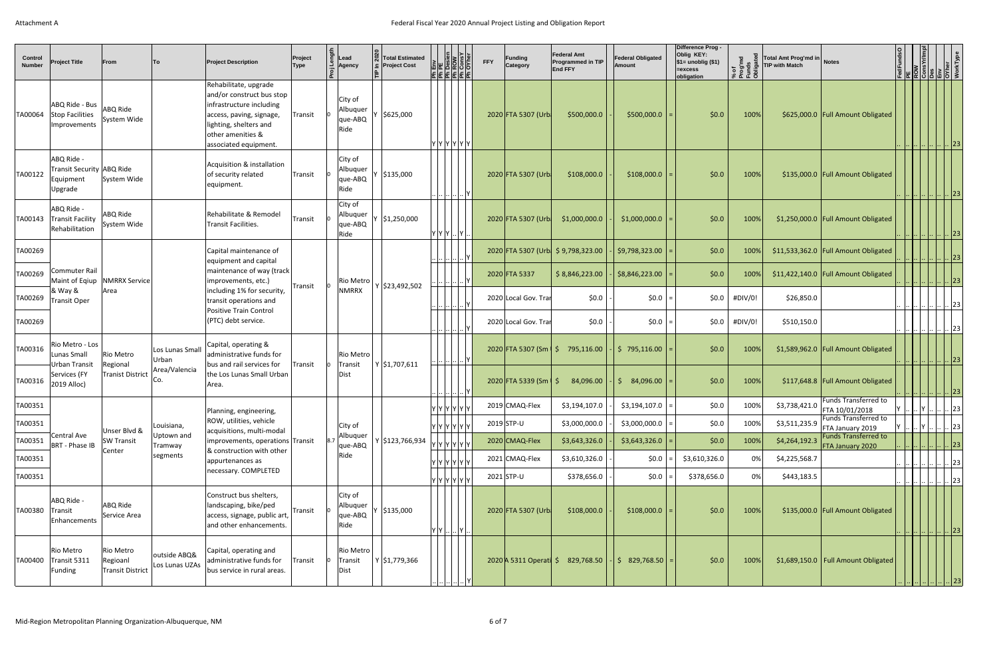| Control<br><b>Number</b> | <b>Project Title</b>                                            | From                                                    | To                             | <b>Project Description</b>                                                                                                                                                         | Project<br><b>Type</b> | Lead<br>Agency                         | <b>Total Estimated</b><br><b>Project Cost</b> | $\begin{array}{ l }\n\hline\n\text{E} & \text{Row} \\ \hline\n\text{Poisson} & \text{Row} \\ \hline\n\text{Dosion} & \text{Cow} \\ \hline\n\text{ComsV} & \text{Dow} \\ \hline\n\end{array}$<br><u>]a a a a a</u> | <b>FFY</b> | <b>Funding</b><br>Category      | <b>Federal Amt</b><br>Programmed in TIP<br><b>End FFY</b> | <b>Federal Obligated</b><br><b>Amount</b> | Difference Prog -<br>Oblig KEY:<br>$\frac{1}{2}$ \$1= unoblig (\$1)<br>=excess<br>obligation | of<br>og'md<br>inds<br>\$E3 | Total Amt Prog'md in Notes<br><b>TIP with Match</b><br><u>୍ର</u> |                                                 |  | <b>FedFunds<br/> ROW<br/> CONSYV/IM<br/> CONSYV/IM<br/> COYMET DO VERTYPE</b> |
|--------------------------|-----------------------------------------------------------------|---------------------------------------------------------|--------------------------------|------------------------------------------------------------------------------------------------------------------------------------------------------------------------------------|------------------------|----------------------------------------|-----------------------------------------------|-------------------------------------------------------------------------------------------------------------------------------------------------------------------------------------------------------------------|------------|---------------------------------|-----------------------------------------------------------|-------------------------------------------|----------------------------------------------------------------------------------------------|-----------------------------|------------------------------------------------------------------|-------------------------------------------------|--|-------------------------------------------------------------------------------|
| TA00064                  | ABQ Ride - Bus<br>Stop Facilities<br>Improvements               | ABQ Ride<br>System Wide                                 |                                | Rehabilitate, upgrade<br>and/or construct bus stop<br>infrastructure including<br>access, paving, signage,<br>lighting, shelters and<br>other amenities &<br>associated equipment. | Transit                | City of<br>Albuquer<br>que-ABQ<br>Ride | \$625,000                                     | Y  Y  Y  Y  Y  Y                                                                                                                                                                                                  |            | 2020 FTA 5307 (Urb              | \$500,000.0                                               | $$500,000.0$ =                            |                                                                                              | \$0.0<br>100%               |                                                                  | \$625,000.0 Full Amount Obligated               |  | $\left\  \ \left[ \ \right] \ \left[ \ \right] \ \left[ 23\ \right] \right\ $ |
| TA00122                  | ABQ Ride -<br>Transit Security ABQ Ride<br>Equipment<br>Upgrade | System Wide                                             |                                | Acquisition & installation<br>of security related<br>equipment.                                                                                                                    | Transit                | City of<br>Albuquer<br>que-ABQ<br>Ride | \$135,000                                     |                                                                                                                                                                                                                   |            | 2020 FTA 5307 (Urb              | \$108,000.0                                               | \$108,000.0                               |                                                                                              | \$0.0<br>100%               |                                                                  | \$135,000.0   Full Amount Obligated             |  | .            23                                                               |
| TA00143                  | ABQ Ride -<br>Transit Facility<br>Rehabilitation                | ABQ Ride<br>System Wide                                 |                                | Rehabilitate & Remodel<br>Transit Facilities.                                                                                                                                      | Transit                | City of<br>Albuquer<br>que-ABQ<br>Ride | \$1,250,000                                   | Y Y Y  Y                                                                                                                                                                                                          |            | 2020 FTA 5307 (Urb              | \$1,000,000.0                                             | $$1,000,000.0$ =                          |                                                                                              | \$0.0<br>100%               |                                                                  | \$1,250,000.0   Full Amount Obligated           |  | 23                                                                            |
| TA00269                  |                                                                 |                                                         |                                | Capital maintenance of<br>equipment and capital                                                                                                                                    |                        |                                        |                                               | $\ldots   \ldots   \ldots   \ldots   \mathsf{Y}$                                                                                                                                                                  |            |                                 | 2020 FTA 5307 (Urb \$9,798,323.00                         | $$9,798,323.00$ =                         |                                                                                              | \$0.0<br>100%               |                                                                  | \$11,533,362.0   Full Amount Obligated          |  | .            23                                                               |
| TA00269                  | Commuter Rail                                                   | Maint of Eqiup   NMRRX Service                          |                                | maintenance of way (track<br>improvements, etc.)                                                                                                                                   |                        | Rio Metro                              |                                               |                                                                                                                                                                                                                   |            | 2020 FTA 5337                   | \$8,846,223.00                                            | \$8,846,223.00                            |                                                                                              | \$0.0<br>100%               |                                                                  | \$11,422,140.0   Full Amount Obligated          |  | <u>             23  </u>                                                      |
| TA00269                  | & Way &<br>Transit Oper                                         | Area                                                    |                                | including 1% for security,<br>transit operations and                                                                                                                               | Transit                | <b>NMRRX</b>                           | $Y$ \$23,492,502                              | $\cdot \cdot$ $\cdot \cdot \cdot$ $\cdot \cdot$ $\cdot \cdot$ $\cdot \cdot$ $\cdot$                                                                                                                               |            | 2020 Local Gov. Trar            | \$0.0\$                                                   | $$0.0$ =                                  |                                                                                              | \$0.0\$<br>#DIV/0!          | \$26,850.0                                                       |                                                 |  | 23                                                                            |
| TA00269                  |                                                                 |                                                         |                                | <b>Positive Train Control</b><br>(PTC) debt service.                                                                                                                               |                        |                                        |                                               |                                                                                                                                                                                                                   |            | 2020 Local Gov. Trar            | \$0.0\$                                                   | $$0.0$ =                                  |                                                                                              | \$0.0<br>#DIV/0!            | \$510,150.0                                                      |                                                 |  | .  23                                                                         |
|                          | TA00316 Rio Metro - Los<br>Lunas Small                          | Rio Metro                                               | Los Lunas Small<br>Urban       | Capital, operating &<br>administrative funds for                                                                                                                                   |                        | Rio Metro                              |                                               | $\frac{1}{2}$ $\frac{1}{2}$ $\frac{1}{2}$ $\frac{1}{2}$                                                                                                                                                           |            |                                 | $2020$ FTA 5307 (Sm $\frac{1}{2}$ 795,116.00              | $ $ \$ 795,116.00 $ $ =                   |                                                                                              | \$0.0\$<br>$100\%$          |                                                                  | $$1,589,962.0$ Full Amount Obligated            |  | <u>            23  </u>                                                       |
| TA00316                  | Urban Transit<br>Services (FY<br>2019 Alloc)                    | Regional<br><b>Tranist District</b>                     | Area/Valencia<br>Co.           | bus and rail services for<br>the Los Lunas Small Urban<br>Area.                                                                                                                    | Transit                | Transit<br>Dist                        | $Y$ \$1,707,611                               |                                                                                                                                                                                                                   |            | 2020 FTA 5339 (Sm $\frac{1}{5}$ | 84,096.00                                                 | $84,096.00$ =<br>S.                       |                                                                                              | \$0.0<br>100%               |                                                                  | $$117,648.8$ Full Amount Obligated              |  | <u>        23  </u>                                                           |
| TA00351                  |                                                                 |                                                         |                                | Planning, engineering,                                                                                                                                                             |                        |                                        |                                               | Y Y Y Y Y Y                                                                                                                                                                                                       |            | 2019 CMAQ-Flex                  | \$3,194,107.0                                             | $$3,194,107.0$ =                          |                                                                                              | \$0.0<br>100%               | \$3,738,421.0                                                    | <b>Funds Transferred to</b><br>FTA 10/01/2018   |  | Y        23                                                                   |
| TA00351                  |                                                                 | Unser Blvd &                                            | Louisiana,                     | ROW, utilities, vehicle<br>acquisitions, multi-modal                                                                                                                               |                        | City of                                |                                               | Y Y Y Y Y Y                                                                                                                                                                                                       |            | $2019$ STP-U                    | \$3,000,000.0                                             | $$3,000,000.0$ =                          |                                                                                              | \$0.0<br>100%               | \$3,511,235.9                                                    | Funds Transferred to<br>FTA January 2019        |  | $\left   \right $ 23                                                          |
| TA00351                  | Central Ave<br>BRT - Phase IB                                   | <b>SW Transit</b><br>Center                             | Uptown and<br>Tramway          | improvements, operations Transit<br>& construction with other                                                                                                                      |                        | Albuquer<br>que-ABQ                    | Y \$123,766,934                               | Y  Y  Y  Y  Y  Y                                                                                                                                                                                                  |            | 2020 CMAQ-Flex                  | \$3,643,326.0                                             | \$3,643,326.0                             |                                                                                              | \$0.0\$<br>100%             | \$4,264,192.3                                                    | <b>Funds Transferred to</b><br>FTA January 2020 |  | $\cdot \cdot \cdot$ 23'                                                       |
| TA00351                  |                                                                 |                                                         | segments                       | appurtenances as<br>necessary. COMPLETED                                                                                                                                           |                        | Ride                                   |                                               | Y Y Y Y Y Y                                                                                                                                                                                                       |            | 2021 CMAQ-Flex                  | \$3,610,326.0                                             | $ 50.0 $ =                                | \$3,610,326.0                                                                                | 0%                          | \$4,225,568.7                                                    |                                                 |  | $\left                    23 \right $                                         |
| TA00351                  |                                                                 |                                                         |                                |                                                                                                                                                                                    |                        |                                        |                                               | Y Y Y Y Y Y                                                                                                                                                                                                       |            | 2021 STP-U                      | \$378,656.0                                               | $ 50.0 $ =                                | \$378,656.0                                                                                  | 0%                          | \$443,183.5                                                      |                                                 |  | $\left \right $ $\left \right $ $\left \right $ $\left 23\right $             |
| TA00380                  | ABQ Ride -<br>Transit<br>Enhancements                           | ABQ Ride<br>Service Area                                |                                | Construct bus shelters,<br>landscaping, bike/ped<br> access, signage, public art,  <br>and other enhancements.                                                                     | Transit                | City of<br>Albuquer<br>que-ABQ<br>Ride | \$135,000                                     | $\mathsf{I}\mathsf{Y} \mathsf{Y} \mathsf{I}\mathsf{Y} \mathsf{I}$                                                                                                                                                 |            | 2020 FTA 5307 (Urb              | \$108,000.0                                               | $$108,000.0$ =                            |                                                                                              | \$0.0<br>100%               |                                                                  | \$135,000.0 Full Amount Obligated               |  | .            23                                                               |
| TA00400                  | Rio Metro<br>Transit 5311<br>Funding                            | <b>Rio Metro</b><br>Regioanl<br><b>Transit District</b> | outside ABQ&<br>Los Lunas UZAs | Capital, operating and<br>administrative funds for<br>bus service in rural areas.                                                                                                  | Transit                | Rio Metro<br>Transit<br>Dist           | Y \$1,779,366                                 |                                                                                                                                                                                                                   |            |                                 | 2020 A 5311 Operati \$ 829,768.50                         | $\vert$ \$ 829,768.50 =                   |                                                                                              | \$0.0<br>100%               |                                                                  | $$1,689,150.0$ Full Amount Obligated            |  |                                                                               |